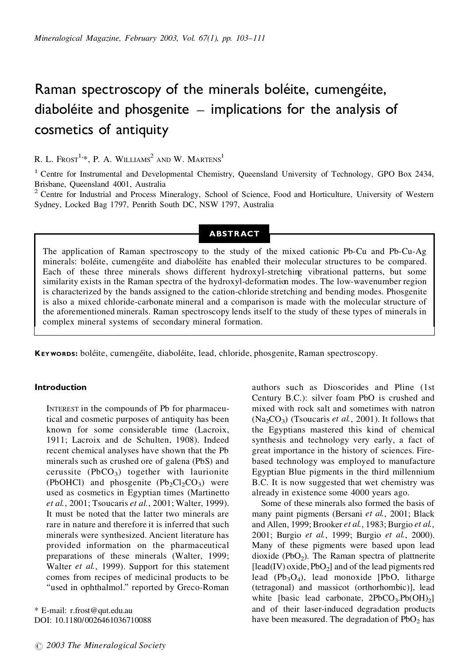# Raman spectroscopy of the minerals boléite, cumengéite, diaboléite and phosgenite  $-$  implications for the analysis of cosmetics of antiquity

R. L.  $F$ rost<sup>1,\*</sup>, P. A. Williams<sup>2</sup> and W. Martens<sup>1</sup>

<sup>1</sup> Centre for Instrumental and Developmental Chemistry, Queensland University of Technology, GPO Box 2434, Brisbane, Queensland 4001, Australia

<sup>2</sup> Centre for Industrial and Process Mineralogy, School of Science, Food and Horticulture, University of Western Sydney, Locked Bag 1797, Penrith South DC, NSW 1797, Australia

# **ABSTRACT**

The application of Raman spectroscopy to the study of the mixed cationic Pb-Cu and Pb-Cu-Ag minerals: boléite, cumengéite and diaboléite has enabled their molecular structures to be compared. Each of these three minerals shows different hydroxyl-stretching vibrational patterns, but some similarity exists in the Raman spectra of the hydroxyl-deformation modes. The low-wavenumber region is characterized by the bands assigned to the cation-chloride stretching and bending modes. Phosgenite is also a mixed chloride-carbonate mineral and a comparison is made with the molecular structure of the aforementioned minerals. Raman spectroscopy lends itself to the study of these types of minerals in complex mineral systems of secondary mineral formation.

**KEYWORDS:** boléite, cumengéite, diaboléite, lead, chloride, phosgenite, Raman spectroscopy.

# **Introduction**

INTEREST in the compounds of Pb for pharmaceutical and cosmetic purposes of antiquity has been known for some considerable time (Lacroix, 1911; Lacroix and de Schulten, 1908). Indeed recent chemical analyses have shown that the Pb minerals such as crushed ore of galena (PbS) and cerussite (PbCO<sub>3</sub>) together with laurionite (PbOHCl) and phosgenite  $(Pb_2Cl_2CO_3)$  were used as cosmetics in Egyptian times (Martinetto *et al.*, 2001; Tsoucaris *et al.*, 2001; Walter, 1999). It must be noted that the latter two minerals are rare in nature and therefore it is inferred that such minerals were synthesized. Ancient literature has provided information on the pharmaceutical preparations of these minerals (Walter, 1999; Walter *et al.*, 1999). Support for this statement comes from recipes of medicinal products to be "used in ophthalmol." reported by Greco-Roman

\* E-mail: r.frost@qut.edu.au DOI: 10.1180/0026461036710088

# *2003 The Mineralogical Society*

authors such as Dioscorides and Pline (1st Century B.C.): silver foam PbO is crushed and mixed with rock salt and sometimes with natron  $(Na_2CO_3)$  (Tsoucaris *et al.*, 2001). It follows that the Egyptians mastered this kind of chemical synthesis and technology very early, a fact of great importance in the history of sciences. Firebased technology was employed to manufacture Egyptian Blue pigments in the third millennium B.C. It is now suggested that wet chemistry was already in existence some 4000 years ago.

Some of these minerals also formed the basis of many paint pigments (Bersani *et al.*, 2001; Black and Allen, 1999; Brooker *et al.*, 1983; Burgio *et al.*, 2001; Burgio *et al.*, 1999; Burgio *et al.*, 2000). Many of these pigments were based upon lead dioxide (PbO<sub>2</sub>). The Raman spectra of plattnerite  $\text{[lead(IV) oxide}, \text{PbO}_2\text{]}$  and of the lead pigments red lead  $(Pb_3O_4)$ , lead monoxide [PbO, litharge (tetragonal) and massicot (orthorhombic)], lead white [basic lead carbonate,  $2PbCO_3.Pb(OH)_2$ ] and of their laser-induced degradation products have been measured. The degradation of  $PbO<sub>2</sub>$  has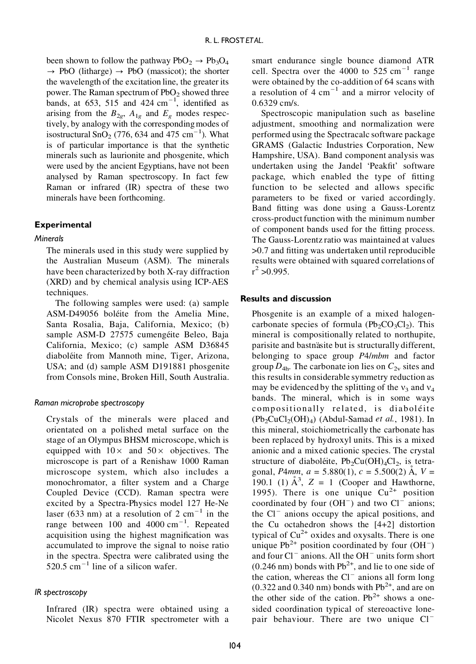been shown to follow the pathway  $PbO_2 \rightarrow Pb_3O_4$  $\rightarrow$  PbO (litharge)  $\rightarrow$  PbO (massicot); the shorter the wavelength of the excitation line, the greater its power. The Raman spectrum of  $PbO<sub>2</sub>$  showed three bands, at 653, 515 and 424  $\text{cm}^{-1}$ , identified as arising from the  $B_{2g}$ ,  $A_{1g}$  and  $E_g$  modes respectively, by analogy with the correspondingmodes of isostructural SnO<sub>2</sub> (776, 634 and 475 cm<sup>-1</sup>). What is of particular importance is that the synthetic minerals such as laurionite and phosgenite, which were used by the ancient Egyptians, have not been analysed by Raman spectroscopy. In fact few Raman or infrared (IR) spectra of these two minerals have been forthcoming.

#### **Experimental**

### *Minerals*

The minerals used in this study were supplied by the Australian Museum (ASM). The minerals have been characterized by both X-ray diffraction (XRD) and by chemical analysis using ICP-AES techniques.

The following samples were used: (a) sample ASM-D49056 boléite from the Amelia Mine, Santa Rosalia, Baja, California, Mexico; (b) sample ASM-D 27575 cumengéite Beleo, Baja California, Mexico; (c) sample ASM D36845 diaboléite from Mannoth mine, Tiger, Arizona, USA; and (d) sample ASM D191881 phosgenite from Consols mine, Broken Hill, South Australia.

### *Raman microprobe spectroscopy*

Crystals of the minerals were placed and orientated on a polished metal surface on the stage of an Olympus BHSM microscope, which is equipped with  $10\times$  and  $50\times$  objectives. The microscope is part of a Renishaw 1000 Raman microscope system, which also includes a monochromator, a filter system and a Charge Coupled Device (CCD). Raman spectra were excited by a Spectra-Physics model 127 He-Ne laser (633 nm) at a resolution of 2 cm<sup>-1</sup> in the range between 100 and 4000 cm<sup>-1</sup>. Repeated acquisition using the highest magnification was accumulated to improve the signal to noise ratio in the spectra. Spectra were calibrated using the  $520.5 \text{ cm}^{-1}$  line of a silicon wafer.

### *IR spectroscopy*

Infrared (IR) spectra were obtained using a Nicolet Nexus 870 FTIR spectrometer with a smart endurance single bounce diamond ATR cell. Spectra over the 4000 to  $525 \text{ cm}^{-1}$  range were obtained by the co-addition of 64 scans with a resolution of  $4 \text{ cm}^{-1}$  and a mirror velocity of 0.6329 cm/s.

Spectroscopic manipulation such as baseline adjustment, smoothing and normalization were performed using the Spectracalc software package GRAMS (Galactic Industries Corporation, New Hampshire, USA). Band component analysis was undertaken using the Jandel 'Peakfit' software package, which enabled the type of fitting function to be selected and allows specific parameters to be fixed or varied accordingly. Band fitting was done using a Gauss-Lorentz cross-productfunction with the minimum number of component bands used for the fitting process. The Gauss-Lorentz ratio was maintained at values  $>0.7$  and fitting was undertaken until reproducible results were obtained with squared correlations of  $r^2 > 0.995$ .

#### **Results and discussion**

Phosgenite is an example of a mixed halogencarbonate species of formula  $(Pb_2CO_3Cl_2)$ . This mineral is compositionally related to northupite, parisite and bastnäsite but is structurally different, belonging to space group *P*4/*mbm* and factor group  $D_{4h}$ . The carbonate ion lies on  $C_{2v}$  sites and this results in considerable symmetry reduction as may be evidenced by the splitting of the  $v_3$  and  $v_4$ bands. The mineral, which is in some ways compositionally related, is diaboléite  $(Pb_2CuCl_2(OH)_4)$  (Abdul-Samad *et al.*, 1981). In this mineral, stoichiometrically the carbonate has been replaced by hydroxyl units. This is a mixed anionic and a mixed cationic species. The crystal structure of diaboléite,  $Pb_2Cu(OH)_4Cl_2$ , is tetragonal, *P4mm*,  $a = 5.880(1)$ ,  $c = 5.500(2)$  Å,  $V =$ 190.1 (1)  $A^3$ ,  $Z = 1$  (Cooper and Hawthorne, 1995). There is one unique  $Cu^{2+}$  position coordinated by four  $(OH^-)$  and two  $Cl^-$  anions; the  $Cl^-$  anions occupy the apical positions, and the Cu octahedron shows the [4+2] distortion typical of  $Cu<sup>2+</sup>$  oxides and oxysalts. There is one unique Pb<sup>2+</sup> position coordinated by four  $(OH^{-})$ and four  $Cl^-$  anions. All the  $OH^-$  units form short  $(0.246 \text{ nm})$  bonds with  $\text{Pb}^{2+}$ , and lie to one side of the cation, whereas the  $Cl^-$  anions all form long  $(0.322$  and  $0.340$  nm) bonds with  $Pb^{2+}$ , and are on the other side of the cation.  $Pb^{2+}$  shows a onesided coordination typical of stereoactive lonepair behaviour. There are two unique Cl<sup>-</sup>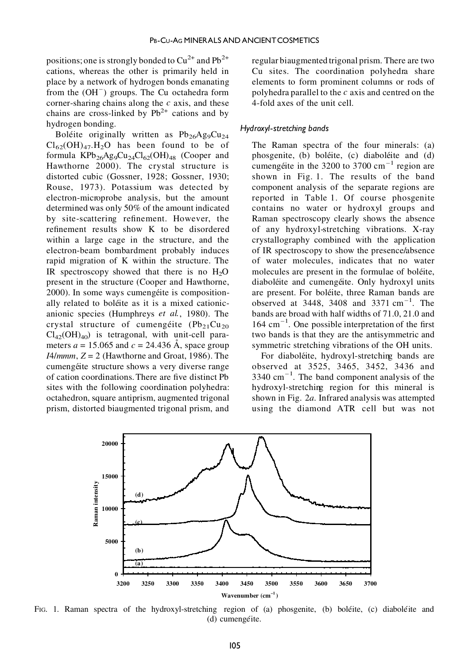positions; one is strongly bonded to  $Cu^{2+}$  and  $Pb^{2+}$ cations, whereas the other is primarily held in place by a network of hydrogen bonds emanating from the  $(OH^-)$  groups. The Cu octahedra form corner-sharing chains along the *c* axis, and these chains are cross-linked by  $Pb^{2+}$  cations and by hydrogen bonding.

Boléite originally written as  $Pb_{26}Ag_9Cu_{24}$  $Cl_{62}(OH)_{47}$ .H<sub>2</sub>O has been found to be of formula  $KPb_{26}Ag_9Cu_{24}Cl_{62}(OH)_{48}$  (Cooper and Hawthorne 2000). The crystal structure is distorted cubic (Gossner, 1928; Gossner, 1930; Rouse, 1973). Potassium was detected by electron-microprobe analysis, but the amount determined was only 50% of the amount indicated by site-scattering refinement. However, the refinement results show K to be disordered within a large cage in the structure, and the electron-beam bombardment probably induces rapid migration of K within the structure. The IR spectroscopy showed that there is no  $H<sub>2</sub>O$ present in the structure (Cooper and Hawthorne, 2000). In some ways cumengéite is compositionally related to boléite as it is a mixed cationicanionic species (Humphreys *et al.*, 1980). The crystal structure of cumengéite  $(Pb_{21}Cu_{20})$  $Cl_{42}(OH)_{40}$ ) is tetragonal, with unit-cell parameters  $a = 15.065$  and  $c = 24.436$  Å, space group  $I4/mmm$ ,  $Z = 2$  (Hawthorne and Groat, 1986). The cumengéite structure shows a very diverse range of cation coordinations. There are five distinct Pb sites with the following coordination polyhedra: octahedron, square antiprism, augmented trigonal prism, distorted biaugmented trigonal prism, and

regular biaugmented trigonal prism. There are two Cu sites. The coordination polyhedra share elements to form prominent columns or rods of polyhedra parallel to the *c* axis and centred on the 4-fold axes of the unit cell.

### *Hydroxyl-stretching bands*

The Raman spectra of the four minerals: (a) phosgenite, (b) boléite, (c) diaboléite and (d) cumengéite in the 3200 to 3700 cm<sup>-1</sup> region are shown in Fig. 1. The results of the band component analysis of the separate regions are reported in Table 1. Of course phosgenite contains no water or hydroxyl groups and Raman spectroscopy clearly shows the absence of any hydroxyl-stretching vibrations. X-ray crystallography combined with the application of IR spectroscopy to show the presence/absence of water molecules, indicates that no water molecules are present in the formulae of boléite, diaboléite and cumengéite. Only hydroxyl units are present. For boléite, three Raman bands are observed at  $3448$ ,  $3408$  and  $3371$  cm<sup>-1</sup>. The bands are broad with half widths of 71.0, 21.0 and  $164 \text{ cm}^{-1}$ . One possible interpretation of the first two bands is that they are the antisymmetric and symmetric stretching vibrations of the OH units.

For diaboléite, hydroxyl-stretching bands are observed at 3525, 3465, 3452, 3436 and  $3340 \text{ cm}^{-1}$ . The band component analysis of the hydroxyl-stretching region for this mineral is shown in Fig. 2*a*. Infrared analysis was attempted using the diamond ATR cell but was not



FIG. 1. Raman spectra of the hydroxyl-stretching region of (a) phosgenite, (b) bolette, (c) diabolette and (d) cumengéite.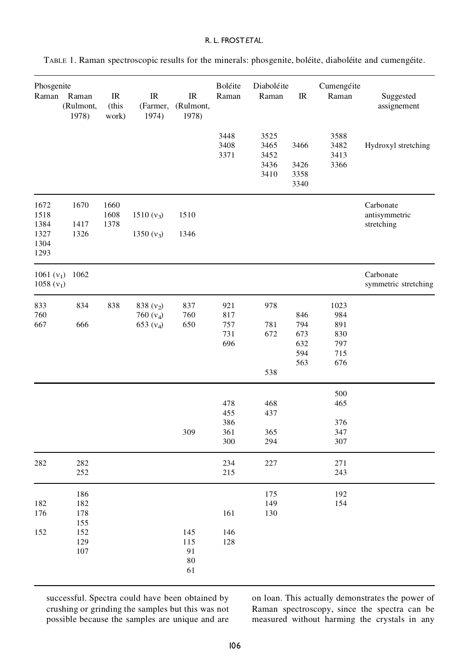| Phosgenite<br>Raman                          | Raman<br>(Rulmont,<br>1978)            | IR<br>(this<br>work) | $_{\rm IR}$<br>(Farmer,<br>1974)          | IR<br>(Rulmont,<br>1978) | Boléite<br>Raman                       | Diaboléite<br>Raman                  | $_{\rm IR}$                            | Cumengéite<br>Raman                                          | Suggested<br>assignement                 |
|----------------------------------------------|----------------------------------------|----------------------|-------------------------------------------|--------------------------|----------------------------------------|--------------------------------------|----------------------------------------|--------------------------------------------------------------|------------------------------------------|
|                                              |                                        |                      |                                           |                          | 3448<br>3408<br>3371                   | 3525<br>3465<br>3452<br>3436<br>3410 | 3466<br>3426<br>3358<br>3340           | 3588<br>3482<br>3413<br>3366                                 | Hydroxyl stretching                      |
| 1672<br>1518<br>1384<br>1327<br>1304<br>1293 | 1670<br>1417<br>1326                   | 1660<br>1608<br>1378 | $1510 (v_3)$<br>1350 $(v_3)$              | 1510<br>1346             |                                        |                                      |                                        |                                                              | Carbonate<br>antisymmetric<br>stretching |
| 1061 $(v_1)$<br>$1058(v_1)$                  | 1062                                   |                      |                                           |                          |                                        |                                      |                                        |                                                              | Carbonate<br>symmetric stretching        |
| 833<br>760<br>667                            | 834<br>666                             | 838                  | 838 $(v_2)$<br>760 $(v_4)$<br>653 $(v_4)$ | 837<br>760<br>650        | 921<br>817<br>757<br>731<br>696<br>478 | 978<br>781<br>672<br>538<br>468      | 846<br>794<br>673<br>632<br>594<br>563 | 1023<br>984<br>891<br>830<br>797<br>715<br>676<br>500<br>465 |                                          |
|                                              |                                        |                      |                                           | 309                      | 455<br>386<br>361<br>300               | 437<br>365<br>294                    |                                        | 376<br>347<br>307                                            |                                          |
| 282                                          | 282<br>252                             |                      |                                           |                          | 234<br>215                             | 227                                  |                                        | 271<br>243                                                   |                                          |
| 182<br>176<br>152                            | 186<br>182<br>178<br>155<br>152<br>129 |                      |                                           | 145<br>115               | 161<br>146<br>128                      | 175<br>149<br>130                    |                                        | 192<br>154                                                   |                                          |
|                                              | 107                                    |                      |                                           | 91<br>80<br>61           |                                        |                                      |                                        |                                                              |                                          |

TABLE 1. Raman spectroscopic results for the minerals: phosgenite, boléite, diaboléite and cumengéite.

successful. Spectra could have been obtained by crushing or grinding the samples but this was not possible because the samples are unique and are on loan. This actually demonstrates the power of Raman spectroscopy, since the spectra can be measured without harming the crystals in any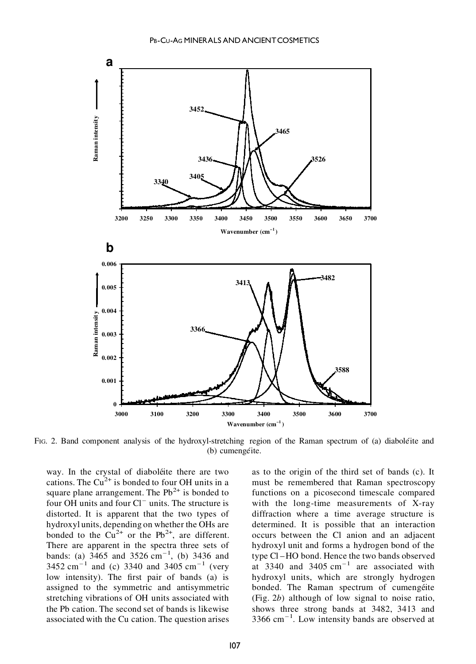

FIG. 2. Band component analysis of the hydroxyl-stretching region of the Raman spectrum of (a) diabole<sup>\*</sup>ite and (b) cumengéite.

way. In the crystal of diaboléite there are two cations. The  $Cu^{2+}$  is bonded to four OH units in a square plane arrangement. The  $Pb^{2+}$  is bonded to four OH units and four  $Cl^-$  units. The structure is distorted. It is apparent that the two types of hydroxyl units, depending on whether the OHs are bonded to the  $Cu^{2+}$  or the Pb<sup>2+</sup>, are different. There are apparent in the spectra three sets of bands: (a)  $3465$  and  $3526 \text{ cm}^{-1}$ , (b) 3436 and 3452 cm<sup>-1</sup> and (c) 3340 and 3405 cm<sup>-1</sup> (very low intensity). The first pair of bands (a) is assigned to the symmetric and antisymmetric stretching vibrations of OH units associated with the Pb cation. The second set of bands is likewise associated with the Cu cation. The question arises

as to the origin of the third set of bands (c). It must be remembered that Raman spectroscopy functions on a picosecond timescale compared with the long-time measurements of X-ray diffraction where a time average structure is determined. It is possible that an interaction occurs between the Cl anion and an adjacent hydroxyl unit and forms a hydrogen bond of the type Cl –HO bond. Hence the two bands observed at 3340 and 3405  $cm^{-1}$  are associated with hydroxyl units, which are strongly hydrogen bonded. The Raman spectrum of cumengéite (Fig. 2*b*) although of low signal to noise ratio, shows three strong bands at 3482, 3413 and 3366 cm–1 . Low intensity bands are observed at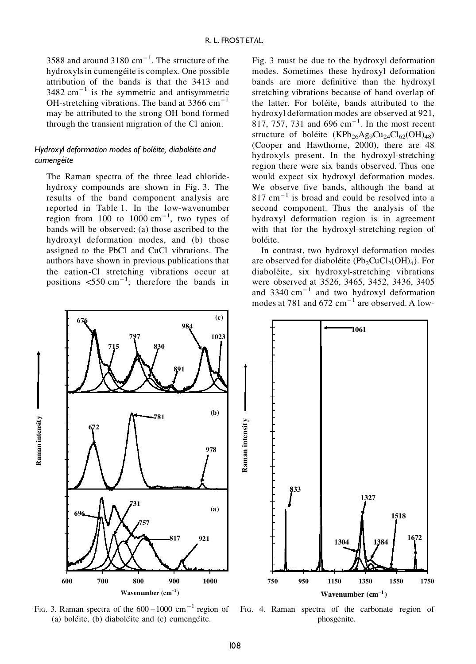3588 and around  $3180 \text{ cm}^{-1}$ . The structure of the hydroxyls in cumengéite is complex. One possible attribution of the bands is that the 3413 and  $3482 \text{ cm}^{-1}$  is the symmetric and antisymmetric OH-stretching vibrations. The band at 3366  $cm^{-1}$ may be attributed to the strong OH bond formed through the transient migration of the Cl anion.

# *Hydroxyl deformation modes of bole¨ite, diabole¨ite and cumenge¨ite*

The Raman spectra of the three lead chloridehydroxy compounds are shown in Fig. 3. The results of the band component analysis are reported in Table 1. In the low-wavenumber region from  $100$  to  $1000 \text{ cm}^{-1}$ , two types of bands will be observed: (a) those ascribed to the hydroxyl deformation modes, and (b) those assigned to the PbCl and CuCl vibrations. The authors have shown in previous publications that the cation-Cl stretching vibrations occur at positions  $\leq 550 \text{ cm}^{-1}$ ; therefore the bands in Fig. 3 must be due to the hydroxyl deformation modes. Sometimes these hydroxyl deformation bands are more definitive than the hydroxyl stretching vibrations because of band overlap of the latter. For boléite, bands attributed to the hydroxyl deformation modes are observed at 921, 817, 757, 731 and  $696 \text{ cm}^{-1}$ . In the most recent structure of boléite  $(KPb_{26}Ag_9Cu_{24}Cl_{62}(OH)_{48})$ (Cooper and Hawthorne, 2000), there are 48 hydroxyls present. In the hydroxyl-stretching region there were six bands observed. Thus one would expect six hydroxyl deformation modes. We observe five bands, although the band at 817 cm–1 is broad and could be resolved into a second component. Thus the analysis of the hydroxyl deformation region is in agreement with that for the hydroxyl-stretching region of boléite.

In contrast, two hydroxyl deformation modes are observed for diaboletie  $(Pb_2CuCl_2(OH)_4)$ . For diaboléite, six hydroxyl-stretching vibrations were observed at 3526, 3465, 3452, 3436, 3405 and  $3340 \text{ cm}^{-1}$  and two hydroxyl deformation modes at 781 and 672  $\text{cm}^{-1}$  are observed. A low-



FIG. 3. Raman spectra of the  $600-1000$  cm<sup>-1</sup> region of (a) boléite,  $(b)$  diaboléite and  $(c)$  cumengéite.

FIG. 4. Raman spectra of the carbonate region of phosgenite.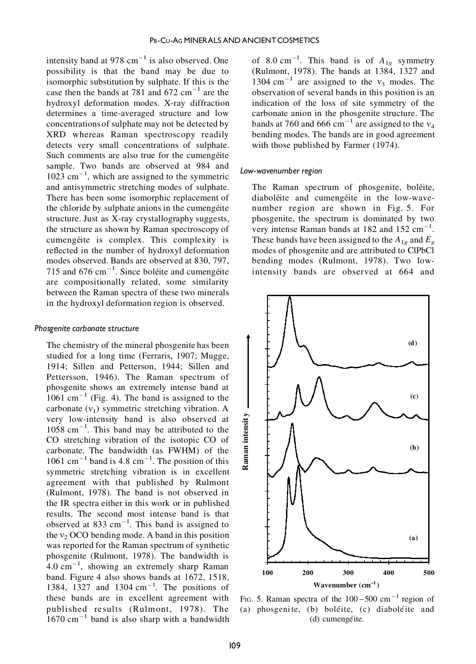intensity band at 978  $\text{cm}^{-1}$  is also observed. One possibility is that the band may be due to isomorphic substitution by sulphate. If this is the case then the bands at 781 and 672  $\text{cm}^{-1}$  are the hydroxyl deformation modes. X-ray diffraction determines a time-averaged structure and low concentrationsof sulphate may not be detected by XRD whereas Raman spectroscopy readily detects very small concentrations of sulphate. Such comments are also true for the cumengéite sample. Two bands are observed at 984 and 1023 cm–1 , which are assigned to the symmetric and antisymmetric stretching modes of sulphate. There has been some isomorphic replacement of the chloride by sulphate anions in the cumengetie structure. Just as X-ray crystallography suggests, the structure as shown by Raman spectroscopy of cumengéite is complex. This complexity is reflected in the number of hydroxyl deformation modes observed. Bands are observed at 830, 797, 715 and  $676 \text{ cm}^{-1}$ . Since boléite and cumengéite are compositionally related, some similarity between the Raman spectra of these two minerals in the hydroxyl deformation region is observed.

#### *Phosgenite carbonate structure*

The chemistry of the mineral phosgenite has been studied for a long time (Ferraris, 1907; Mugge, 1914; Sillen and Petterson, 1944; Sillen and Pettersson, 1946). The Raman spectrum of phosgenite shows an extremely intense band at  $1061$  cm<sup>-1</sup> (Fig. 4). The band is assigned to the carbonate  $(v_1)$  symmetric stretching vibration. A very low-intensity band is also observed at 1058 cm–1 . This band may be attributed to the CO stretching vibration of the isotopic CO of carbonate. The bandwidth (as FWHM) of the  $1061 \text{ cm}^{-1}$  band is 4.8 cm<sup>-1</sup>. The position of this symmetric stretching vibration is in excellent agreement with that published by Rulmont (Rulmont, 1978). The band is not observed in the IR spectra either in this work or in published results. The second most intense band is that observed at 833  $cm^{-1}$ . This band is assigned to the  $v_2$  OCO bending mode. A band in this position was reported for the Raman spectrum of synthetic phosgenite (Rulmont, 1978). The bandwidth is  $4.0 \text{ cm}^{-1}$ , showing an extremely sharp Raman band. Figure 4 also shows bands at 1672, 1518, 1384, 1327 and 1304  $\text{cm}^{-1}$ . The positions of these bands are in excellent agreement with published results (Rulmont, 1978). The  $1670 \text{ cm}^{-1}$  band is also sharp with a bandwidth

of 8.0 cm<sup>-1</sup>. This band is of  $A_{1g}$  symmetry (Rulmont, 1978). The bands at 1384, 1327 and 1304 cm<sup>-1</sup> are assigned to the  $v_3$  modes. The observation of several bands in this position is an indication of the loss of site symmetry of the carbonate anion in the phosgenite structure. The bands at 760 and 666 cm<sup>-1</sup> are assigned to the  $v_4$ bending modes. The bands are in good agreement with those published by Farmer (1974).

#### Low-wavenumber region

The Raman spectrum of phosgenite, boléite, diaboléite and cumengéite in the low-wavenumber region are shown in Fig. 5. For phosgenite, the spectrum is dominated by two very intense Raman bands at 182 and 152  $\text{cm}^{-1}$ . These bands have been assigned to the  $A_{1g}$  and  $E_g$ modes of phosgenite and are attributed to ClPbCl bending modes (Rulmont, 1978). Two lowintensity bands are observed at 664 and



FIG. 5. Raman spectra of the  $100-500$  cm<sup>-1</sup> region of (a) phosgenite, (b) boléite, (c) diaboléite and (d) cumengéite.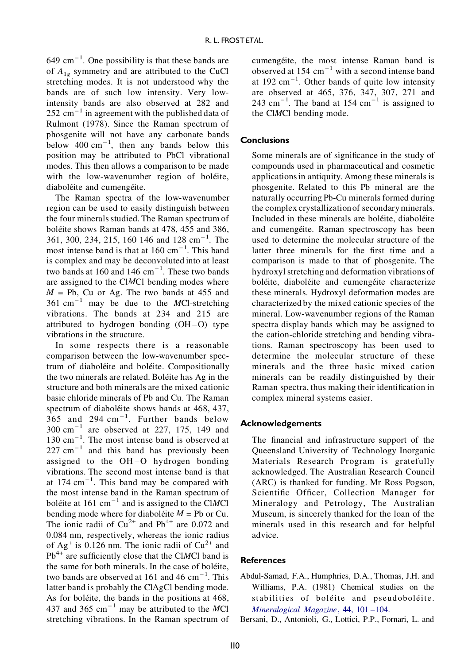$649 \text{ cm}^{-1}$ . One possibility is that these bands are of  $A_{1g}$  symmetry and are attributed to the CuCl stretching modes. It is not understood why the bands are of such low intensity. Very lowintensity bands are also observed at 282 and  $252 \text{ cm}^{-1}$  in agreement with the published data of Rulmont (1978). Since the Raman spectrum of phosgenite will not have any carbonate bands below  $400 \text{ cm}^{-1}$ , then any bands below this position may be attributed to PbCl vibrational modes. This then allows a comparison to be made with the low-wavenumber region of boléite, diaboléite and cumengéite.

The Raman spectra of the low-wavenumber region can be used to easily distinguish between the four minerals studied. The Raman spectrum of boléite shows Raman bands at 478, 455 and 386, 361, 300, 234, 215, 160 146 and 128 cm–1 . The most intense band is that at  $160 \text{ cm}^{-1}$ . This band is complex and may be deconvoluted into at least two bands at 160 and 146  $\text{cm}^{-1}$ . These two bands are assigned to the Cl*M*Cl bending modes where  $M = Pb$ , Cu or Ag. The two bands at 455 and 361 cm–1 may be due to the *M*Cl-stretching vibrations. The bands at 234 and 215 are attributed to hydrogen bonding  $(OH-O)$  type vibrations in the structure.

In some respects there is a reasonable comparison between the low-wavenumber spectrum of diaboléite and boléite. Compositionally the two minerals are related. Boléite has Ag in the structure and both minerals are the mixed cationic basic chloride minerals of Pb and Cu. The Raman spectrum of diaboléite shows bands at 468, 437,  $365$  and 294 cm<sup>-1</sup>. Further bands below  $\lambda$  $300 \text{ cm}^{-1}$  are observed at 227, 175, 149 and 130 cm–1 . The most intense band is observed at  $227 \text{ cm}^{-1}$  and this band has previously been assigned to the OH –O hydrogen bonding vibrations. The second most intense band is that at  $174 \text{ cm}^{-1}$ . This band may be compared with the most intense band in the Raman spectrum of boléite at 161 cm<sup>-1</sup> and is assigned to the ClMCl bending mode where for diaboletie  $M = Pb$  or Cu. The ionic radii of  $Cu^{2+}$  and Pb<sup>4+</sup> are 0.072 and 0.084 nm, respectively, whereas the ionic radius of Ag<sup>+</sup> is 0.126 nm. The ionic radii of  $Cu^{2+}$  and  $Pb<sup>4+</sup>$  are sufficiently close that the ClMCl band is the same for both minerals. In the case of boléite, two bands are observed at 161 and 46  $\text{cm}^{-1}$ . This latter band is probably the ClAgCl bending mode. As for boléite, the bands in the positions at 468, 437 and 365 cm–1 may be attributed to the *M*Cl stretching vibrations. In the Raman spectrum of

cumengéite, the most intense Raman band is observed at  $154 \text{ cm}^{-1}$  with a second intense band at  $192 \text{ cm}^{-1}$ . Other bands of quite low intensity are observed at 465, 376, 347, 307, 271 and  $243 \text{ cm}^{-1}$ . The band at 154  $\text{cm}^{-1}$  is assigned to the Cl*M*Cl bending mode.

# **Conclusions**

Some minerals are of significance in the study of compounds used in pharmaceutical and cosmetic applicationsin antiquity. Among these minerals is phosgenite. Related to this Pb mineral are the naturally occurring Pb-Cu minerals formed during the complex crystallizationof secondaryminerals. Included in these minerals are boléite, diaboléite and cumengéite. Raman spectroscopy has been used to determine the molecular structure of the latter three minerals for the first time and a comparison is made to that of phosgenite. The hydroxyl stretching and deformation vibrations of boléite, diaboléite and cumengéite characterize these minerals. Hydroxyl deformation modes are characterized by the mixed cationic species of the mineral. Low-wavenumber regions of the Raman spectra display bands which may be assigned to the cation-chloride stretching and bending vibrations. Raman spectroscopy has been used to determine the molecular structure of these minerals and the three basic mixed cation minerals can be readily distinguished by their Raman spectra, thus making their identification in complex mineral systems easier.

### **Acknowledgements**

The financial and infrastructure support of the Queensland University of Technology Inorganic Materials Research Program is gratefully acknowledged. The Australian Research Council (ARC) is thanked for funding. Mr Ross Pogson, Scientific Officer, Collection Manager for Mineralogy and Petrology, The Australian Museum, is sincerely thanked for the loan of the minerals used in this research and for helpful advice.

# **References**

Abdul-Samad, F.A., Humphries, D.A., Thomas, J.H. and Williams, P.A. (1981) Chemical studies on the stabilities of boléite and pseudoboléite. *[Mineralogical](http://www.ingentaconnect.com/content/external-references?article=/0026-461X^28^2944L.101[aid=4174148]) Magazine*, **44**, 101 –104.

Bersani, D., Antonioli, G., Lottici, P.P., Fornari, L. and